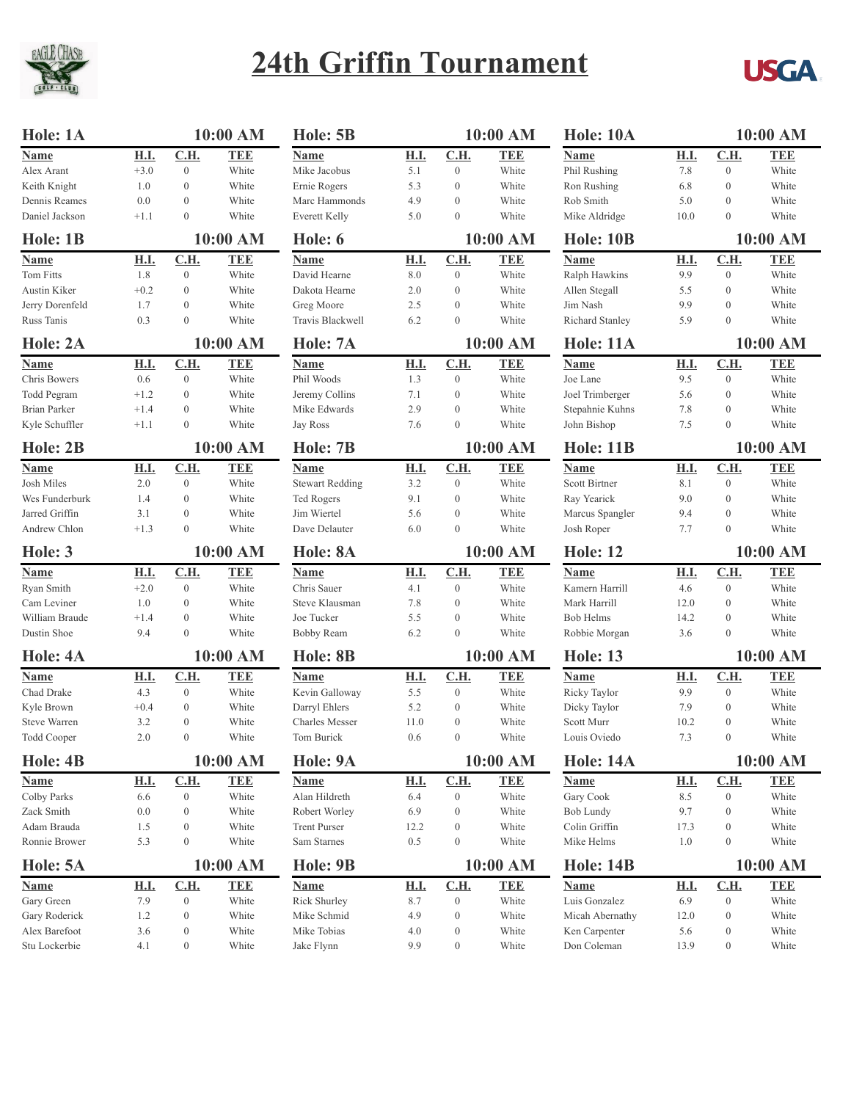

## **24th Griffin Tournament**



| Hole: 1A             |             |                  | 10:00 AM   | Hole: 5B               |             |                  | 10:00 AM         | <b>Hole: 10A</b> |             | 10:00 AM         |            |  |
|----------------------|-------------|------------------|------------|------------------------|-------------|------------------|------------------|------------------|-------------|------------------|------------|--|
| Name                 | <b>H.I.</b> | C.H.             | <b>TEE</b> | Name                   | <b>H.I.</b> | C.H.             | <b>TEE</b>       | Name             | <b>H.I.</b> | C.H.             | <b>TEE</b> |  |
| Alex Arant           | $+3.0$      | $\mathbf{0}$     | White      | Mike Jacobus           | 5.1         | $\mathbf{0}$     | White            | Phil Rushing     | 7.8         | $\boldsymbol{0}$ | White      |  |
| Keith Knight         | 1.0         | $\boldsymbol{0}$ | White      | Ernie Rogers           | 5.3         | $\mathbf{0}$     | White            | Ron Rushing      | 6.8         | $\boldsymbol{0}$ | White      |  |
| Dennis Reames        | 0.0         | $\boldsymbol{0}$ | White      | Marc Hammonds          | 4.9         | $\mathbf{0}$     | White            | Rob Smith        | 5.0         | $\boldsymbol{0}$ | White      |  |
| Daniel Jackson       | $+1.1$      | $\mathbf{0}$     | White      | <b>Everett Kelly</b>   | 5.0         | $\mathbf{0}$     | White            | Mike Aldridge    | 10.0        | $\mathbf{0}$     | White      |  |
| 10:00 AM<br>Hole: 1B |             |                  | Hole: 6    |                        |             | 10:00 AM         | <b>Hole: 10B</b> | 10:00 AM         |             |                  |            |  |
| <b>Name</b>          | <b>H.I.</b> | C.H.             | <b>TEE</b> | <b>Name</b>            | <b>H.I.</b> | C.H.             | <b>TEE</b>       | <b>Name</b>      | <b>H.I.</b> | C.H.             | <b>TEE</b> |  |
| <b>Tom Fitts</b>     | 1.8         | $\boldsymbol{0}$ | White      | David Hearne           | 8.0         | $\mathbf{0}$     | White            | Ralph Hawkins    | 9.9         | $\overline{0}$   | White      |  |
| Austin Kiker         | $+0.2$      | $\boldsymbol{0}$ | White      | Dakota Hearne          | 2.0         | $\mathbf{0}$     | White            | Allen Stegall    | 5.5         | $\boldsymbol{0}$ | White      |  |
| Jerry Dorenfeld      | 1.7         | $\mathbf{0}$     | White      | Greg Moore             | 2.5         | $\mathbf{0}$     | White            | Jim Nash         | 9.9         | $\boldsymbol{0}$ | White      |  |
| Russ Tanis           | 0.3         | $\theta$         | White      | Travis Blackwell       | 6.2         | $\mathbf{0}$     | White            | Richard Stanley  | 5.9         | $\overline{0}$   | White      |  |
| Hole: 2A             |             |                  | 10:00 AM   | Hole: 7A               | 10:00 AM    |                  | <b>Hole: 11A</b> | 10:00 AM         |             |                  |            |  |
|                      |             |                  |            |                        |             |                  |                  |                  |             |                  |            |  |
| Name                 | <b>H.I.</b> | C.H.             | <b>TEE</b> | <b>Name</b>            | <b>H.I.</b> | C.H.             | <b>TEE</b>       | Name             | <b>H.I.</b> | C.H.             | <b>TEE</b> |  |
| Chris Bowers         | 0.6         | $\mathbf{0}$     | White      | Phil Woods             | 1.3         | $\mathbf{0}$     | White            | Joe Lane         | 9.5         | $\overline{0}$   | White      |  |
| Todd Pegram          | $+1.2$      | $\boldsymbol{0}$ | White      | Jeremy Collins         | 7.1         | $\mathbf{0}$     | White            | Joel Trimberger  | 5.6         | $\boldsymbol{0}$ | White      |  |
| <b>Brian Parker</b>  | $+1.4$      | $\boldsymbol{0}$ | White      | Mike Edwards           | 2.9         | $\mathbf{0}$     | White            | Stepahnie Kuhns  | 7.8         | $\boldsymbol{0}$ | White      |  |
| Kyle Schuffler       | $+1.1$      | $\overline{0}$   | White      | Jay Ross               | 7.6         | $\boldsymbol{0}$ | White            | John Bishop      | 7.5         | $\mathbf{0}$     | White      |  |
| Hole: 2B             |             |                  | 10:00 AM   | Hole: 7B               | 10:00 AM    |                  |                  | <b>Hole: 11B</b> |             | 10:00 AM         |            |  |
| <b>Name</b>          | <b>H.I.</b> | C.H.             | <b>TEE</b> | Name                   | <b>H.I.</b> | C.H.             | <b>TEE</b>       | <b>Name</b>      | H.I.        | C.H.             | <b>TEE</b> |  |
| <b>Josh Miles</b>    | 2.0         | $\boldsymbol{0}$ | White      | <b>Stewart Redding</b> | 3.2         | $\overline{0}$   | White            | Scott Birtner    | 8.1         | $\boldsymbol{0}$ | White      |  |
| Wes Funderburk       | 1.4         | $\boldsymbol{0}$ | White      | Ted Rogers             | 9.1         | $\mathbf{0}$     | White            | Ray Yearick      | 9.0         | $\boldsymbol{0}$ | White      |  |
| Jarred Griffin       | 3.1         | $\mathbf{0}$     | White      | Jim Wiertel            | 5.6         | $\mathbf{0}$     | White            | Marcus Spangler  | 9.4         | $\boldsymbol{0}$ | White      |  |
| Andrew Chlon         | $+1.3$      | $\mathbf{0}$     | White      | Dave Delauter          | 6.0         | $\mathbf{0}$     | White            | Josh Roper       | 7.7         | $\overline{0}$   | White      |  |
| Hole: 3              |             | 10:00 AM         |            | Hole: 8A               |             | 10:00 AM         |                  | <b>Hole: 12</b>  |             | 10:00 AM         |            |  |
| <b>Name</b>          | <b>H.I.</b> | C.H.             | <b>TEE</b> | <b>Name</b>            | <b>H.I.</b> | C.H.             | <b>TEE</b>       | Name             | <b>H.I.</b> | C.H.             | <b>TEE</b> |  |
| Ryan Smith           | $+2.0$      | $\mathbf{0}$     | White      | Chris Sauer            | 4.1         | $\mathbf{0}$     | White            | Kamern Harrill   | 4.6         | $\boldsymbol{0}$ | White      |  |
| Cam Leviner          | 1.0         | $\boldsymbol{0}$ | White      | Steve Klausman         | 7.8         | $\mathbf{0}$     | White            | Mark Harrill     | 12.0        | $\boldsymbol{0}$ | White      |  |
| William Braude       | $+1.4$      | $\boldsymbol{0}$ | White      | Joe Tucker             | 5.5         | $\mathbf{0}$     | White            | <b>Bob Helms</b> | 14.2        | $\boldsymbol{0}$ | White      |  |
| Dustin Shoe          | 9.4         | $\theta$         | White      | Bobby Ream             | 6.2         | $\mathbf{0}$     | White            | Robbie Morgan    | 3.6         | $\mathbf{0}$     | White      |  |
| Hole: 4A             |             |                  | 10:00 AM   | Hole: 8B               |             | 10:00 AM         |                  | <b>Hole: 13</b>  |             | 10:00 AM         |            |  |
| <b>Name</b>          | <b>H.I.</b> | C.H.             | <b>TEE</b> | <b>Name</b>            | H.I.        | C.H.             | <b>TEE</b>       | <b>Name</b>      | <b>H.I.</b> | C.H.             | <b>TEE</b> |  |
| Chad Drake           | 4.3         | $\boldsymbol{0}$ | White      | Kevin Galloway         | 5.5         | $\mathbf{0}$     | White            | Ricky Taylor     | 9.9         | $\boldsymbol{0}$ | White      |  |
| Kyle Brown           | $+0.4$      | $\boldsymbol{0}$ | White      | Darryl Ehlers          | 5.2         | $\mathbf{0}$     | White            | Dicky Taylor     | 7.9         | $\boldsymbol{0}$ | White      |  |
| <b>Steve Warren</b>  | 3.2         | $\mathbf{0}$     | White      | <b>Charles Messer</b>  | 11.0        | $\mathbf{0}$     | White            | Scott Murr       | 10.2        | $\boldsymbol{0}$ | White      |  |
| <b>Todd Cooper</b>   | 2.0         | $\mathbf{0}$     | White      | Tom Burick             | 0.6         | $\overline{0}$   | White            | Louis Oviedo     | 7.3         | $\overline{0}$   | White      |  |
| Hole: 4B             |             |                  | 10:00 AM   | Hole: 9A               | 10:00 AM    |                  | <b>Hole: 14A</b> |                  | 10:00 AM    |                  |            |  |
| <b>Name</b>          | H.I.        | C.H.             | <b>TEE</b> | <b>Name</b>            | <b>H.I.</b> | C.H.             | <b>TEE</b>       | <b>Name</b>      | <u>H.I.</u> | C.H.             | <b>TEE</b> |  |
| Colby Parks          | 6.6         | $\boldsymbol{0}$ | White      | Alan Hildreth          | 6.4         | $\mathbf{0}$     | White            | Gary Cook        | 8.5         | $\boldsymbol{0}$ | White      |  |
| Zack Smith           | 0.0         | $\boldsymbol{0}$ | White      | Robert Worley          | 6.9         | $\mathbf{0}$     | White            | Bob Lundy        | 9.7         | $\boldsymbol{0}$ | White      |  |
| Adam Brauda          | 1.5         | $\boldsymbol{0}$ | White      | <b>Trent Purser</b>    | 12.2        | $\mathbf{0}$     | White            | Colin Griffin    | 17.3        | $\boldsymbol{0}$ | White      |  |
| Ronnie Brower        | 5.3         | $\boldsymbol{0}$ | White      | Sam Starnes            | 0.5         | $\mathbf{0}$     | White            | Mike Helms       | 1.0         | $\boldsymbol{0}$ | White      |  |
|                      |             |                  |            |                        |             |                  |                  |                  |             |                  |            |  |
| Hole: 5A             | 10:00 AM    |                  | Hole: 9B   |                        | 10:00 AM    |                  | <b>Hole: 14B</b> |                  | 10:00 AM    |                  |            |  |
| <b>Name</b>          | <b>H.I.</b> | C.H.             | <b>TEE</b> | <b>Name</b>            | <u>H.I.</u> | C.H.             | <b>TEE</b>       | <b>Name</b>      | <u>H.I.</u> | C.H.             | <b>TEE</b> |  |
| Gary Green           | 7.9         | $\boldsymbol{0}$ | White      | Rick Shurley           | 8.7         | $\boldsymbol{0}$ | White            | Luis Gonzalez    | 6.9         | $\boldsymbol{0}$ | White      |  |
| Gary Roderick        | 1.2         | $\boldsymbol{0}$ | White      | Mike Schmid            | 4.9         | $\boldsymbol{0}$ | White            | Micah Abernathy  | 12.0        | $\boldsymbol{0}$ | White      |  |
| Alex Barefoot        |             | $\boldsymbol{0}$ | White      | Mike Tobias            | 4.0         | $\mathbf{0}$     | White            | Ken Carpenter    | 5.6         | $\boldsymbol{0}$ | White      |  |
| Stu Lockerbie        | 3.6<br>4.1  | $\boldsymbol{0}$ | White      | Jake Flynn             | 9.9         |                  | White            | Don Coleman      | 13.9        |                  | White      |  |